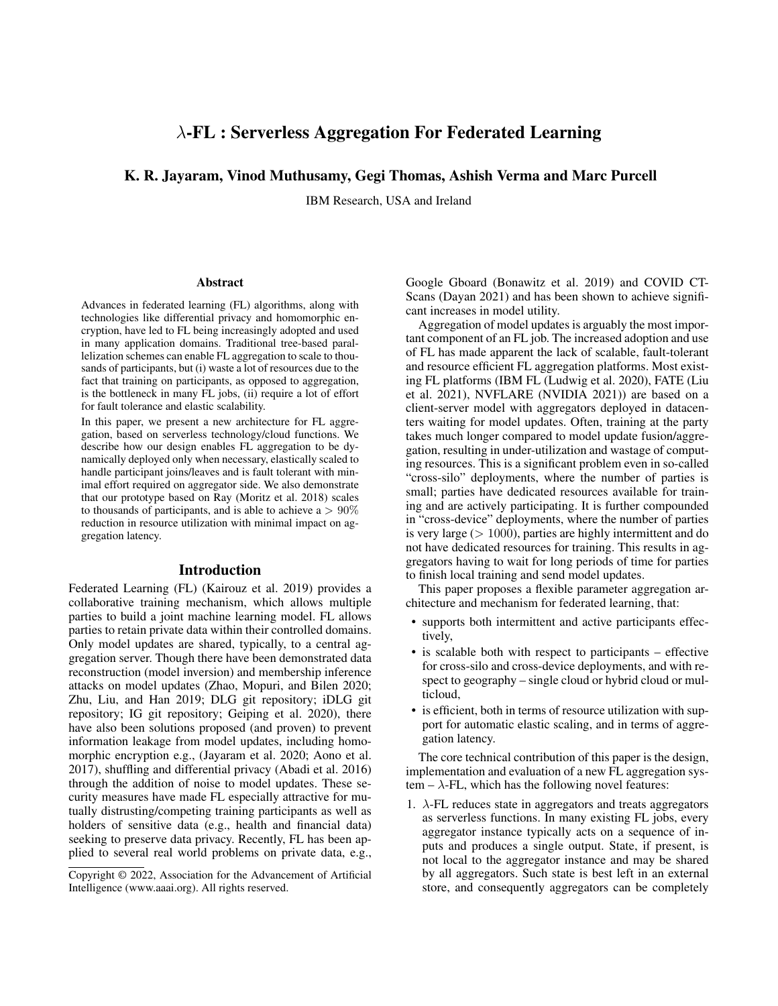# λ-FL : Serverless Aggregation For Federated Learning

# K. R. Jayaram, Vinod Muthusamy, Gegi Thomas, Ashish Verma and Marc Purcell

IBM Research, USA and Ireland

#### Abstract

Advances in federated learning (FL) algorithms, along with technologies like differential privacy and homomorphic encryption, have led to FL being increasingly adopted and used in many application domains. Traditional tree-based parallelization schemes can enable FL aggregation to scale to thousands of participants, but (i) waste a lot of resources due to the fact that training on participants, as opposed to aggregation, is the bottleneck in many FL jobs, (ii) require a lot of effort for fault tolerance and elastic scalability.

In this paper, we present a new architecture for FL aggregation, based on serverless technology/cloud functions. We describe how our design enables FL aggregation to be dynamically deployed only when necessary, elastically scaled to handle participant joins/leaves and is fault tolerant with minimal effort required on aggregator side. We also demonstrate that our prototype based on Ray (Moritz et al. 2018) scales to thousands of participants, and is able to achieve a  $> 90\%$ reduction in resource utilization with minimal impact on aggregation latency.

#### Introduction

Federated Learning (FL) (Kairouz et al. 2019) provides a collaborative training mechanism, which allows multiple parties to build a joint machine learning model. FL allows parties to retain private data within their controlled domains. Only model updates are shared, typically, to a central aggregation server. Though there have been demonstrated data reconstruction (model inversion) and membership inference attacks on model updates (Zhao, Mopuri, and Bilen 2020; Zhu, Liu, and Han 2019; DLG git repository; iDLG git repository; IG git repository; Geiping et al. 2020), there have also been solutions proposed (and proven) to prevent information leakage from model updates, including homomorphic encryption e.g., (Jayaram et al. 2020; Aono et al. 2017), shuffling and differential privacy (Abadi et al. 2016) through the addition of noise to model updates. These security measures have made FL especially attractive for mutually distrusting/competing training participants as well as holders of sensitive data (e.g., health and financial data) seeking to preserve data privacy. Recently, FL has been applied to several real world problems on private data, e.g.,

Google Gboard (Bonawitz et al. 2019) and COVID CT-Scans (Dayan 2021) and has been shown to achieve significant increases in model utility.

Aggregation of model updates is arguably the most important component of an FL job. The increased adoption and use of FL has made apparent the lack of scalable, fault-tolerant and resource efficient FL aggregation platforms. Most existing FL platforms (IBM FL (Ludwig et al. 2020), FATE (Liu et al. 2021), NVFLARE (NVIDIA 2021)) are based on a client-server model with aggregators deployed in datacenters waiting for model updates. Often, training at the party takes much longer compared to model update fusion/aggregation, resulting in under-utilization and wastage of computing resources. This is a significant problem even in so-called "cross-silo" deployments, where the number of parties is small; parties have dedicated resources available for training and are actively participating. It is further compounded in "cross-device" deployments, where the number of parties is very large  $(> 1000)$ , parties are highly intermittent and do not have dedicated resources for training. This results in aggregators having to wait for long periods of time for parties to finish local training and send model updates.

This paper proposes a flexible parameter aggregation architecture and mechanism for federated learning, that:

- supports both intermittent and active participants effectively,
- is scalable both with respect to participants effective for cross-silo and cross-device deployments, and with respect to geography – single cloud or hybrid cloud or multicloud,
- is efficient, both in terms of resource utilization with support for automatic elastic scaling, and in terms of aggregation latency.

The core technical contribution of this paper is the design, implementation and evaluation of a new FL aggregation system –  $\lambda$ -FL, which has the following novel features:

1.  $\lambda$ -FL reduces state in aggregators and treats aggregators as serverless functions. In many existing FL jobs, every aggregator instance typically acts on a sequence of inputs and produces a single output. State, if present, is not local to the aggregator instance and may be shared by all aggregators. Such state is best left in an external store, and consequently aggregators can be completely

Copyright © 2022, Association for the Advancement of Artificial Intelligence (www.aaai.org). All rights reserved.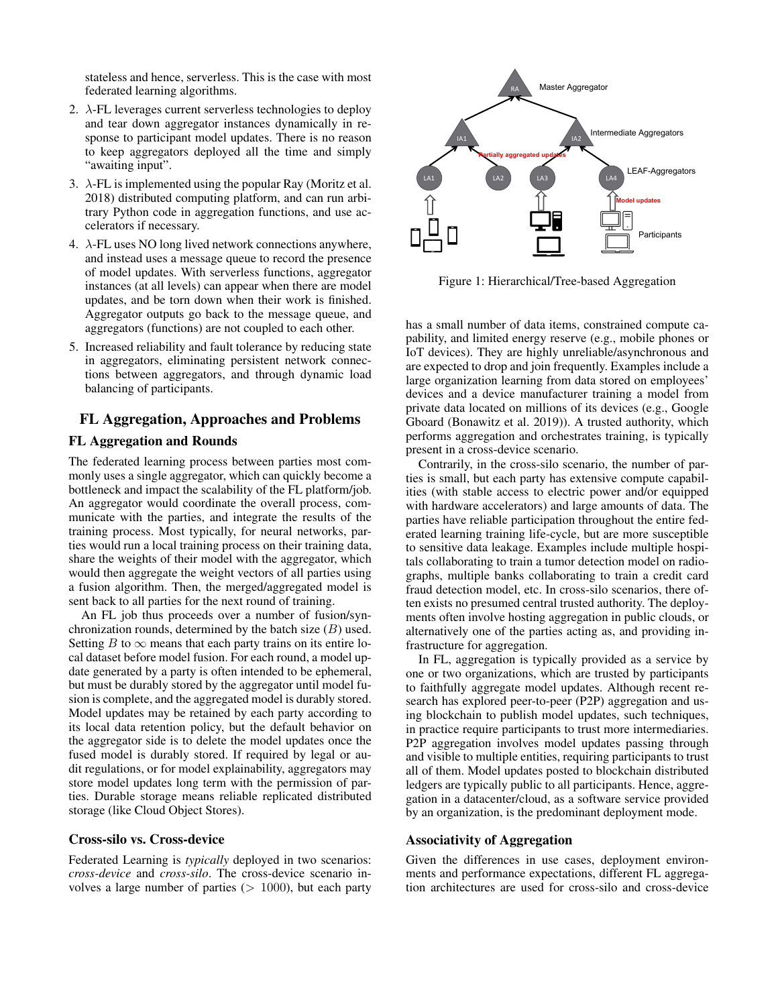stateless and hence, serverless. This is the case with most federated learning algorithms.

- 2.  $\lambda$ -FL leverages current serverless technologies to deploy and tear down aggregator instances dynamically in response to participant model updates. There is no reason to keep aggregators deployed all the time and simply "awaiting input".
- 3.  $\lambda$ -FL is implemented using the popular Ray (Moritz et al. 2018) distributed computing platform, and can run arbitrary Python code in aggregation functions, and use accelerators if necessary.
- 4.  $\lambda$ -FL uses NO long lived network connections anywhere, and instead uses a message queue to record the presence of model updates. With serverless functions, aggregator instances (at all levels) can appear when there are model updates, and be torn down when their work is finished. Aggregator outputs go back to the message queue, and aggregators (functions) are not coupled to each other.
- 5. Increased reliability and fault tolerance by reducing state in aggregators, eliminating persistent network connections between aggregators, and through dynamic load balancing of participants.

# FL Aggregation, Approaches and Problems

# FL Aggregation and Rounds

The federated learning process between parties most commonly uses a single aggregator, which can quickly become a bottleneck and impact the scalability of the FL platform/job. An aggregator would coordinate the overall process, communicate with the parties, and integrate the results of the training process. Most typically, for neural networks, parties would run a local training process on their training data, share the weights of their model with the aggregator, which would then aggregate the weight vectors of all parties using a fusion algorithm. Then, the merged/aggregated model is sent back to all parties for the next round of training.

An FL job thus proceeds over a number of fusion/synchronization rounds, determined by the batch size  $(B)$  used. Setting B to  $\infty$  means that each party trains on its entire local dataset before model fusion. For each round, a model update generated by a party is often intended to be ephemeral, but must be durably stored by the aggregator until model fusion is complete, and the aggregated model is durably stored. Model updates may be retained by each party according to its local data retention policy, but the default behavior on the aggregator side is to delete the model updates once the fused model is durably stored. If required by legal or audit regulations, or for model explainability, aggregators may store model updates long term with the permission of parties. Durable storage means reliable replicated distributed storage (like Cloud Object Stores).

# Cross-silo vs. Cross-device

Federated Learning is *typically* deployed in two scenarios: *cross-device* and *cross-silo*. The cross-device scenario involves a large number of parties  $(> 1000)$ , but each party



Figure 1: Hierarchical/Tree-based Aggregation

has a small number of data items, constrained compute capability, and limited energy reserve (e.g., mobile phones or IoT devices). They are highly unreliable/asynchronous and are expected to drop and join frequently. Examples include a large organization learning from data stored on employees' devices and a device manufacturer training a model from private data located on millions of its devices (e.g., Google Gboard (Bonawitz et al. 2019)). A trusted authority, which performs aggregation and orchestrates training, is typically present in a cross-device scenario.

Contrarily, in the cross-silo scenario, the number of parties is small, but each party has extensive compute capabilities (with stable access to electric power and/or equipped with hardware accelerators) and large amounts of data. The parties have reliable participation throughout the entire federated learning training life-cycle, but are more susceptible to sensitive data leakage. Examples include multiple hospitals collaborating to train a tumor detection model on radiographs, multiple banks collaborating to train a credit card fraud detection model, etc. In cross-silo scenarios, there often exists no presumed central trusted authority. The deployments often involve hosting aggregation in public clouds, or alternatively one of the parties acting as, and providing infrastructure for aggregation.

In FL, aggregation is typically provided as a service by one or two organizations, which are trusted by participants to faithfully aggregate model updates. Although recent research has explored peer-to-peer (P2P) aggregation and using blockchain to publish model updates, such techniques, in practice require participants to trust more intermediaries. P2P aggregation involves model updates passing through and visible to multiple entities, requiring participants to trust all of them. Model updates posted to blockchain distributed ledgers are typically public to all participants. Hence, aggregation in a datacenter/cloud, as a software service provided by an organization, is the predominant deployment mode.

#### Associativity of Aggregation

Given the differences in use cases, deployment environments and performance expectations, different FL aggregation architectures are used for cross-silo and cross-device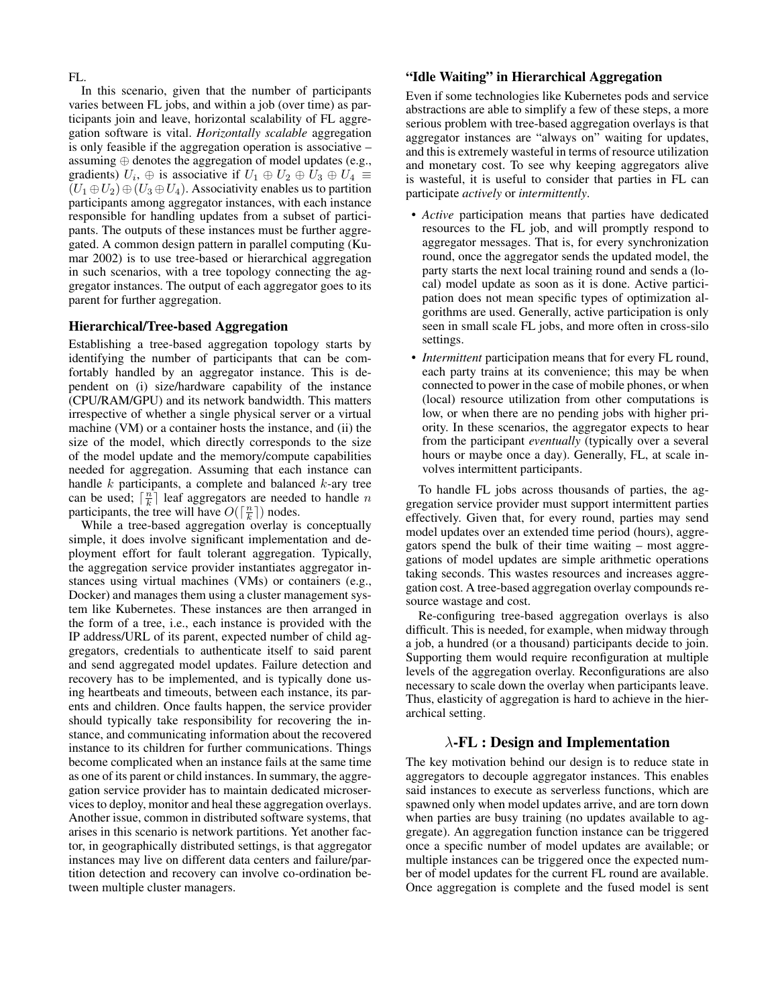FL.

In this scenario, given that the number of participants varies between FL jobs, and within a job (over time) as participants join and leave, horizontal scalability of FL aggregation software is vital. *Horizontally scalable* aggregation is only feasible if the aggregation operation is associative – assuming ⊕ denotes the aggregation of model updates (e.g., gradients)  $U_i$ ,  $\oplus$  is associative if  $U_1 \oplus U_2 \oplus U_3 \oplus U_4 \equiv$  $(U_1 \oplus U_2) \oplus (U_3 \oplus U_4)$ . Associativity enables us to partition participants among aggregator instances, with each instance responsible for handling updates from a subset of participants. The outputs of these instances must be further aggregated. A common design pattern in parallel computing (Kumar 2002) is to use tree-based or hierarchical aggregation in such scenarios, with a tree topology connecting the aggregator instances. The output of each aggregator goes to its parent for further aggregation.

### Hierarchical/Tree-based Aggregation

Establishing a tree-based aggregation topology starts by identifying the number of participants that can be comfortably handled by an aggregator instance. This is dependent on (i) size/hardware capability of the instance (CPU/RAM/GPU) and its network bandwidth. This matters irrespective of whether a single physical server or a virtual machine (VM) or a container hosts the instance, and (ii) the size of the model, which directly corresponds to the size of the model update and the memory/compute capabilities needed for aggregation. Assuming that each instance can handle  $k$  participants, a complete and balanced  $k$ -ary tree can be used;  $\lceil \frac{n}{k} \rceil$  leaf aggregators are needed to handle n participants, the tree will have  $O(\lceil \frac{n}{k} \rceil)$  nodes.

While a tree-based aggregation overlay is conceptually simple, it does involve significant implementation and deployment effort for fault tolerant aggregation. Typically, the aggregation service provider instantiates aggregator instances using virtual machines (VMs) or containers (e.g., Docker) and manages them using a cluster management system like Kubernetes. These instances are then arranged in the form of a tree, i.e., each instance is provided with the IP address/URL of its parent, expected number of child aggregators, credentials to authenticate itself to said parent and send aggregated model updates. Failure detection and recovery has to be implemented, and is typically done using heartbeats and timeouts, between each instance, its parents and children. Once faults happen, the service provider should typically take responsibility for recovering the instance, and communicating information about the recovered instance to its children for further communications. Things become complicated when an instance fails at the same time as one of its parent or child instances. In summary, the aggregation service provider has to maintain dedicated microservices to deploy, monitor and heal these aggregation overlays. Another issue, common in distributed software systems, that arises in this scenario is network partitions. Yet another factor, in geographically distributed settings, is that aggregator instances may live on different data centers and failure/partition detection and recovery can involve co-ordination between multiple cluster managers.

# "Idle Waiting" in Hierarchical Aggregation

Even if some technologies like Kubernetes pods and service abstractions are able to simplify a few of these steps, a more serious problem with tree-based aggregation overlays is that aggregator instances are "always on" waiting for updates, and this is extremely wasteful in terms of resource utilization and monetary cost. To see why keeping aggregators alive is wasteful, it is useful to consider that parties in FL can participate *actively* or *intermittently*.

- *Active* participation means that parties have dedicated resources to the FL job, and will promptly respond to aggregator messages. That is, for every synchronization round, once the aggregator sends the updated model, the party starts the next local training round and sends a (local) model update as soon as it is done. Active participation does not mean specific types of optimization algorithms are used. Generally, active participation is only seen in small scale FL jobs, and more often in cross-silo settings.
- *Intermittent* participation means that for every FL round, each party trains at its convenience; this may be when connected to power in the case of mobile phones, or when (local) resource utilization from other computations is low, or when there are no pending jobs with higher priority. In these scenarios, the aggregator expects to hear from the participant *eventually* (typically over a several hours or maybe once a day). Generally, FL, at scale involves intermittent participants.

To handle FL jobs across thousands of parties, the aggregation service provider must support intermittent parties effectively. Given that, for every round, parties may send model updates over an extended time period (hours), aggregators spend the bulk of their time waiting – most aggregations of model updates are simple arithmetic operations taking seconds. This wastes resources and increases aggregation cost. A tree-based aggregation overlay compounds resource wastage and cost.

Re-configuring tree-based aggregation overlays is also difficult. This is needed, for example, when midway through a job, a hundred (or a thousand) participants decide to join. Supporting them would require reconfiguration at multiple levels of the aggregation overlay. Reconfigurations are also necessary to scale down the overlay when participants leave. Thus, elasticity of aggregation is hard to achieve in the hierarchical setting.

# $\lambda$ -FL : Design and Implementation

The key motivation behind our design is to reduce state in aggregators to decouple aggregator instances. This enables said instances to execute as serverless functions, which are spawned only when model updates arrive, and are torn down when parties are busy training (no updates available to aggregate). An aggregation function instance can be triggered once a specific number of model updates are available; or multiple instances can be triggered once the expected number of model updates for the current FL round are available. Once aggregation is complete and the fused model is sent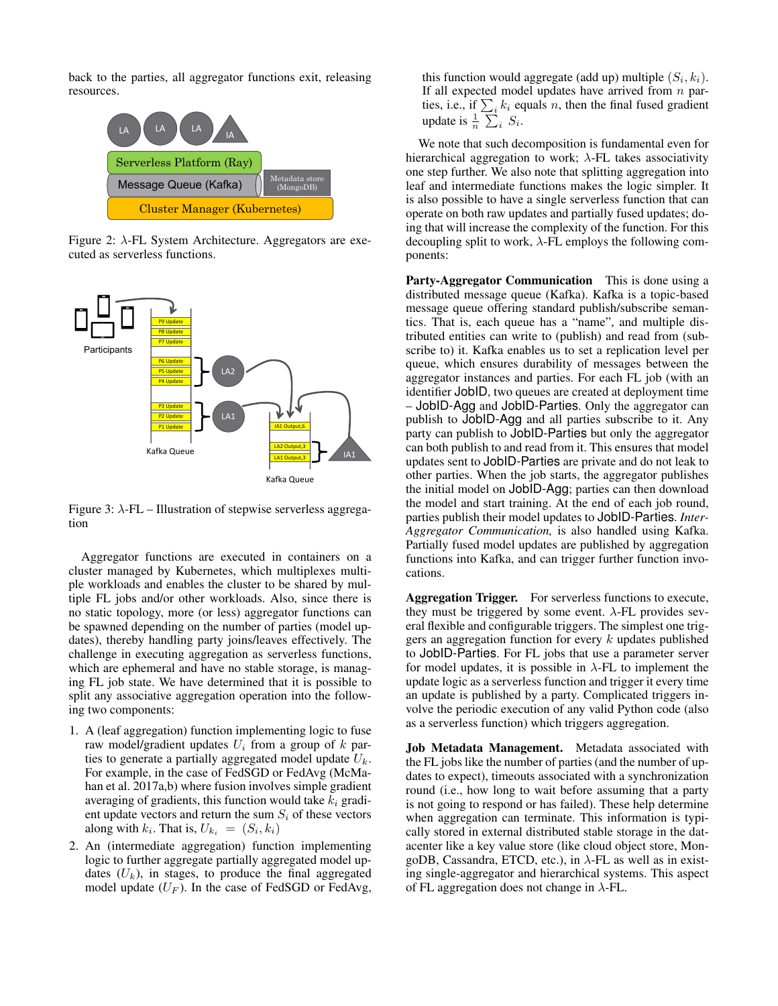back to the parties, all aggregator functions exit, releasing resources.



Figure 2:  $\lambda$ -FL System Architecture. Aggregators are executed as serverless functions.



Figure 3:  $\lambda$ -FL – Illustration of stepwise serverless aggregation

Aggregator functions are executed in containers on a cluster managed by Kubernetes, which multiplexes multiple workloads and enables the cluster to be shared by multiple FL jobs and/or other workloads. Also, since there is no static topology, more (or less) aggregator functions can be spawned depending on the number of parties (model updates), thereby handling party joins/leaves effectively. The challenge in executing aggregation as serverless functions, which are ephemeral and have no stable storage, is managing FL job state. We have determined that it is possible to split any associative aggregation operation into the following two components:

- 1. A (leaf aggregation) function implementing logic to fuse raw model/gradient updates  $U_i$  from a group of k parties to generate a partially aggregated model update  $U_k$ . For example, in the case of FedSGD or FedAvg (McMahan et al. 2017a,b) where fusion involves simple gradient averaging of gradients, this function would take  $k_i$  gradient update vectors and return the sum  $S_i$  of these vectors along with  $k_i$ . That is,  $U_{k_i} = (S_i, k_i)$
- 2. An (intermediate aggregation) function implementing logic to further aggregate partially aggregated model updates  $(U_k)$ , in stages, to produce the final aggregated model update  $(U_F)$ . In the case of FedSGD or FedAvg,

this function would aggregate (add up) multiple  $(S_i, k_i)$ . If all expected model updates have arrived from  $n$  parties, i.e., if  $\sum_i k_i$  equals n, then the final fused gradient update is  $\frac{1}{n} \sum_i S_i$ .

We note that such decomposition is fundamental even for hierarchical aggregation to work;  $\lambda$ -FL takes associativity one step further. We also note that splitting aggregation into leaf and intermediate functions makes the logic simpler. It is also possible to have a single serverless function that can operate on both raw updates and partially fused updates; doing that will increase the complexity of the function. For this decoupling split to work,  $\lambda$ -FL employs the following components:

Party-Aggregator Communication This is done using a distributed message queue (Kafka). Kafka is a topic-based message queue offering standard publish/subscribe semantics. That is, each queue has a "name", and multiple distributed entities can write to (publish) and read from (subscribe to) it. Kafka enables us to set a replication level per queue, which ensures durability of messages between the aggregator instances and parties. For each FL job (with an identifier JobID, two queues are created at deployment time – JobID-Agg and JobID-Parties. Only the aggregator can publish to JobID-Agg and all parties subscribe to it. Any party can publish to JobID-Parties but only the aggregator can both publish to and read from it. This ensures that model updates sent to JobID-Parties are private and do not leak to other parties. When the job starts, the aggregator publishes the initial model on JobID-Agg; parties can then download the model and start training. At the end of each job round, parties publish their model updates to JobID-Parties. *Inter-Aggregator Communication,* is also handled using Kafka. Partially fused model updates are published by aggregation functions into Kafka, and can trigger further function invocations.

Aggregation Trigger. For serverless functions to execute, they must be triggered by some event.  $\lambda$ -FL provides several flexible and configurable triggers. The simplest one triggers an aggregation function for every  $k$  updates published to JobID-Parties. For FL jobs that use a parameter server for model updates, it is possible in  $\lambda$ -FL to implement the update logic as a serverless function and trigger it every time an update is published by a party. Complicated triggers involve the periodic execution of any valid Python code (also as a serverless function) which triggers aggregation.

Job Metadata Management. Metadata associated with the FL jobs like the number of parties (and the number of updates to expect), timeouts associated with a synchronization round (i.e., how long to wait before assuming that a party is not going to respond or has failed). These help determine when aggregation can terminate. This information is typically stored in external distributed stable storage in the datacenter like a key value store (like cloud object store, MongoDB, Cassandra, ETCD, etc.), in  $\lambda$ -FL as well as in existing single-aggregator and hierarchical systems. This aspect of FL aggregation does not change in  $\lambda$ -FL.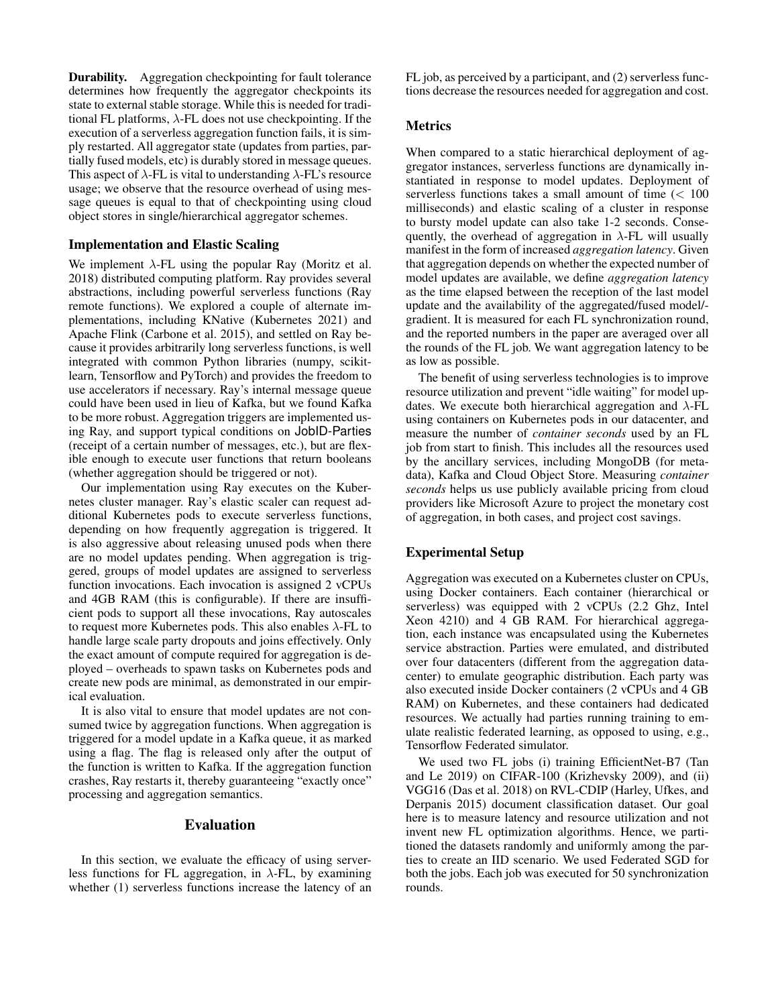Durability. Aggregation checkpointing for fault tolerance determines how frequently the aggregator checkpoints its state to external stable storage. While this is needed for traditional FL platforms,  $\lambda$ -FL does not use checkpointing. If the execution of a serverless aggregation function fails, it is simply restarted. All aggregator state (updates from parties, partially fused models, etc) is durably stored in message queues. This aspect of  $\lambda$ -FL is vital to understanding  $\lambda$ -FL's resource usage; we observe that the resource overhead of using message queues is equal to that of checkpointing using cloud object stores in single/hierarchical aggregator schemes.

# Implementation and Elastic Scaling

We implement  $\lambda$ -FL using the popular Ray (Moritz et al. 2018) distributed computing platform. Ray provides several abstractions, including powerful serverless functions (Ray remote functions). We explored a couple of alternate implementations, including KNative (Kubernetes 2021) and Apache Flink (Carbone et al. 2015), and settled on Ray because it provides arbitrarily long serverless functions, is well integrated with common Python libraries (numpy, scikitlearn, Tensorflow and PyTorch) and provides the freedom to use accelerators if necessary. Ray's internal message queue could have been used in lieu of Kafka, but we found Kafka to be more robust. Aggregation triggers are implemented using Ray, and support typical conditions on JobID-Parties (receipt of a certain number of messages, etc.), but are flexible enough to execute user functions that return booleans (whether aggregation should be triggered or not).

Our implementation using Ray executes on the Kubernetes cluster manager. Ray's elastic scaler can request additional Kubernetes pods to execute serverless functions, depending on how frequently aggregation is triggered. It is also aggressive about releasing unused pods when there are no model updates pending. When aggregation is triggered, groups of model updates are assigned to serverless function invocations. Each invocation is assigned 2 vCPUs and 4GB RAM (this is configurable). If there are insufficient pods to support all these invocations, Ray autoscales to request more Kubernetes pods. This also enables  $\lambda$ -FL to handle large scale party dropouts and joins effectively. Only the exact amount of compute required for aggregation is deployed – overheads to spawn tasks on Kubernetes pods and create new pods are minimal, as demonstrated in our empirical evaluation.

It is also vital to ensure that model updates are not consumed twice by aggregation functions. When aggregation is triggered for a model update in a Kafka queue, it as marked using a flag. The flag is released only after the output of the function is written to Kafka. If the aggregation function crashes, Ray restarts it, thereby guaranteeing "exactly once" processing and aggregation semantics.

#### Evaluation

In this section, we evaluate the efficacy of using serverless functions for FL aggregation, in  $\lambda$ -FL, by examining whether (1) serverless functions increase the latency of an FL job, as perceived by a participant, and (2) serverless functions decrease the resources needed for aggregation and cost.

# **Metrics**

When compared to a static hierarchical deployment of aggregator instances, serverless functions are dynamically instantiated in response to model updates. Deployment of serverless functions takes a small amount of time  $\left($  < 100 milliseconds) and elastic scaling of a cluster in response to bursty model update can also take 1-2 seconds. Consequently, the overhead of aggregation in  $\lambda$ -FL will usually manifest in the form of increased *aggregation latency*. Given that aggregation depends on whether the expected number of model updates are available, we define *aggregation latency* as the time elapsed between the reception of the last model update and the availability of the aggregated/fused model/ gradient. It is measured for each FL synchronization round, and the reported numbers in the paper are averaged over all the rounds of the FL job. We want aggregation latency to be as low as possible.

The benefit of using serverless technologies is to improve resource utilization and prevent "idle waiting" for model updates. We execute both hierarchical aggregation and  $\lambda$ -FL using containers on Kubernetes pods in our datacenter, and measure the number of *container seconds* used by an FL job from start to finish. This includes all the resources used by the ancillary services, including MongoDB (for metadata), Kafka and Cloud Object Store. Measuring *container seconds* helps us use publicly available pricing from cloud providers like Microsoft Azure to project the monetary cost of aggregation, in both cases, and project cost savings.

# Experimental Setup

Aggregation was executed on a Kubernetes cluster on CPUs, using Docker containers. Each container (hierarchical or serverless) was equipped with 2 vCPUs (2.2 Ghz, Intel Xeon 4210) and 4 GB RAM. For hierarchical aggregation, each instance was encapsulated using the Kubernetes service abstraction. Parties were emulated, and distributed over four datacenters (different from the aggregation datacenter) to emulate geographic distribution. Each party was also executed inside Docker containers (2 vCPUs and 4 GB RAM) on Kubernetes, and these containers had dedicated resources. We actually had parties running training to emulate realistic federated learning, as opposed to using, e.g., Tensorflow Federated simulator.

We used two FL jobs (i) training EfficientNet-B7 (Tan and Le 2019) on CIFAR-100 (Krizhevsky 2009), and (ii) VGG16 (Das et al. 2018) on RVL-CDIP (Harley, Ufkes, and Derpanis 2015) document classification dataset. Our goal here is to measure latency and resource utilization and not invent new FL optimization algorithms. Hence, we partitioned the datasets randomly and uniformly among the parties to create an IID scenario. We used Federated SGD for both the jobs. Each job was executed for 50 synchronization rounds.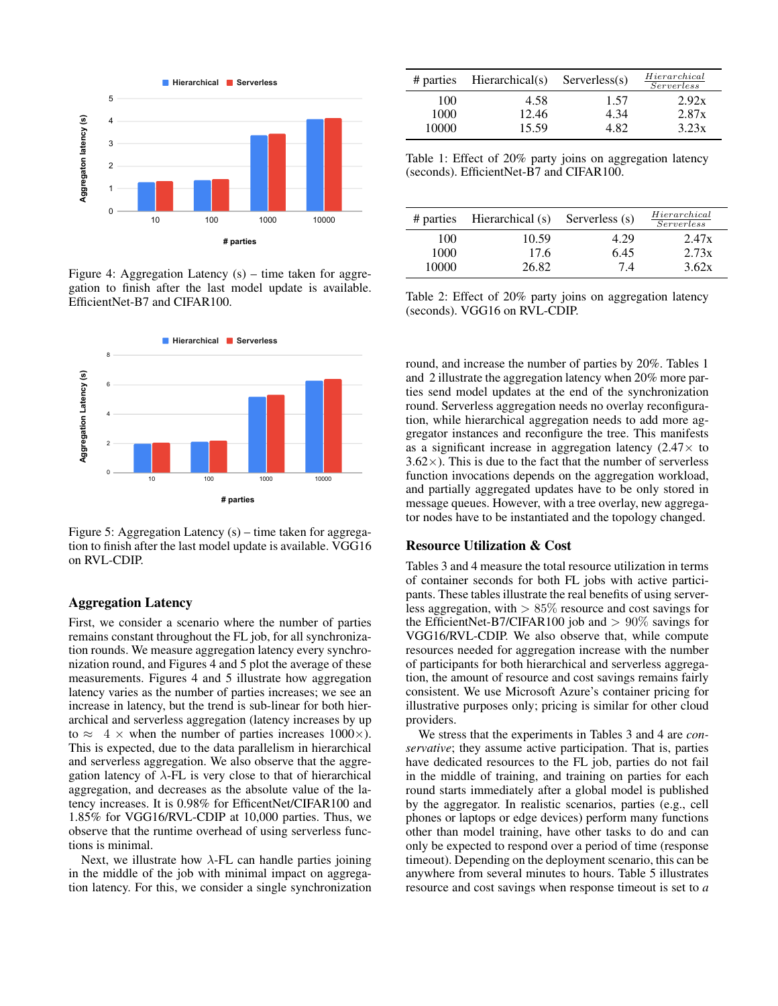

Figure 4: Aggregation Latency (s) – time taken for aggregation to finish after the last model update is available. EfficientNet-B7 and CIFAR100.



Figure 5: Aggregation Latency (s) – time taken for aggregation to finish after the last model update is available. VGG16 on RVL-CDIP.

### Aggregation Latency

First, we consider a scenario where the number of parties remains constant throughout the FL job, for all synchronization rounds. We measure aggregation latency every synchronization round, and Figures 4 and 5 plot the average of these measurements. Figures 4 and 5 illustrate how aggregation latency varies as the number of parties increases; we see an increase in latency, but the trend is sub-linear for both hierarchical and serverless aggregation (latency increases by up to  $\approx$  4  $\times$  when the number of parties increases 1000 $\times$ ). This is expected, due to the data parallelism in hierarchical and serverless aggregation. We also observe that the aggregation latency of  $\lambda$ -FL is very close to that of hierarchical aggregation, and decreases as the absolute value of the latency increases. It is 0.98% for EfficentNet/CIFAR100 and 1.85% for VGG16/RVL-CDIP at 10,000 parties. Thus, we observe that the runtime overhead of using serverless functions is minimal.

Next, we illustrate how  $\lambda$ -FL can handle parties joining in the middle of the job with minimal impact on aggregation latency. For this, we consider a single synchronization

|             | $#$ parties Hierarchical(s) | $S$ erverless $(s)$ | Hierarchical<br><i>Serverless</i> |  |
|-------------|-----------------------------|---------------------|-----------------------------------|--|
| 100<br>1000 | 4.58<br>12.46               | 1.57<br>4.34        | 2.92x<br>2.87x                    |  |
| 10000       | 15.59                       | 4 82                | 3.23x                             |  |

Table 1: Effect of 20% party joins on aggregation latency (seconds). EfficientNet-B7 and CIFAR100.

| # parties | Hierarchical (s) | Serverless (s) | Hierarchical<br>Serverless |  |
|-----------|------------------|----------------|----------------------------|--|
| 100       | 10.59            | 4.29           | 2.47x                      |  |
| 1000      | 17.6             | 6.45           | 2.73x                      |  |
| 10000     | 26.82            | 7.4            | 3.62x                      |  |

Table 2: Effect of 20% party joins on aggregation latency (seconds). VGG16 on RVL-CDIP.

round, and increase the number of parties by 20%. Tables 1 and 2 illustrate the aggregation latency when 20% more parties send model updates at the end of the synchronization round. Serverless aggregation needs no overlay reconfiguration, while hierarchical aggregation needs to add more aggregator instances and reconfigure the tree. This manifests as a significant increase in aggregation latency  $(2.47 \times$  to  $3.62\times$ ). This is due to the fact that the number of serverless function invocations depends on the aggregation workload, and partially aggregated updates have to be only stored in message queues. However, with a tree overlay, new aggregator nodes have to be instantiated and the topology changed.

### Resource Utilization & Cost

Tables 3 and 4 measure the total resource utilization in terms of container seconds for both FL jobs with active participants. These tables illustrate the real benefits of using serverless aggregation, with  $> 85\%$  resource and cost savings for the EfficientNet-B7/CIFAR100 job and > 90% savings for VGG16/RVL-CDIP. We also observe that, while compute resources needed for aggregation increase with the number of participants for both hierarchical and serverless aggregation, the amount of resource and cost savings remains fairly consistent. We use Microsoft Azure's container pricing for illustrative purposes only; pricing is similar for other cloud providers.

We stress that the experiments in Tables 3 and 4 are *conservative*; they assume active participation. That is, parties have dedicated resources to the FL job, parties do not fail in the middle of training, and training on parties for each round starts immediately after a global model is published by the aggregator. In realistic scenarios, parties (e.g., cell phones or laptops or edge devices) perform many functions other than model training, have other tasks to do and can only be expected to respond over a period of time (response timeout). Depending on the deployment scenario, this can be anywhere from several minutes to hours. Table 5 illustrates resource and cost savings when response timeout is set to *a*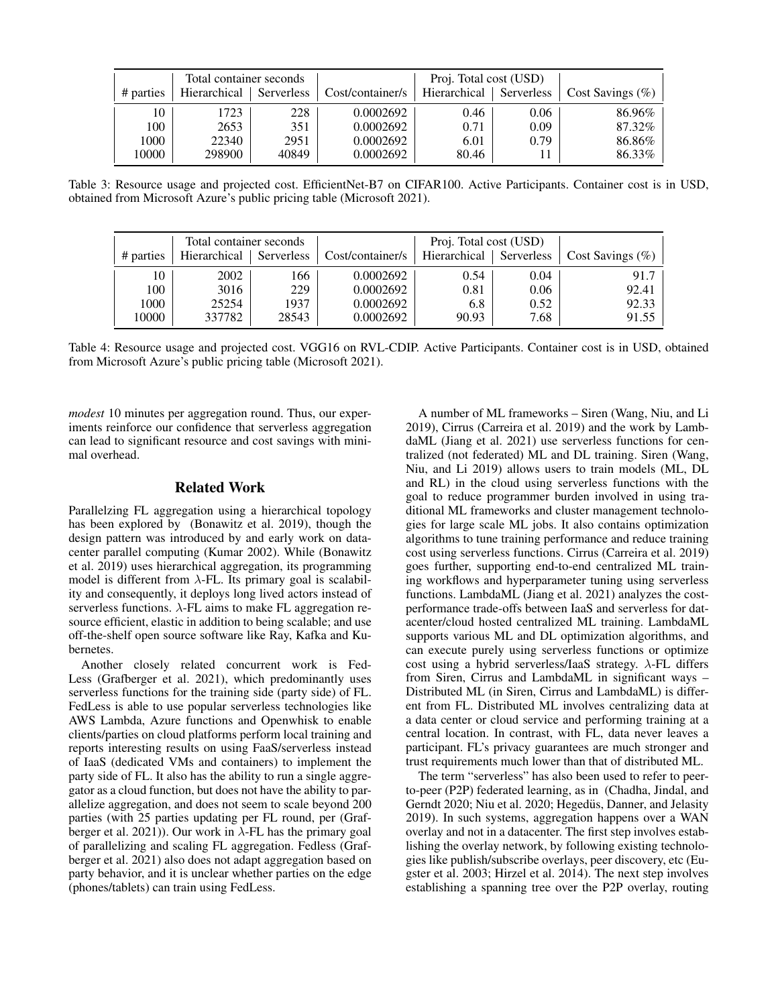| Total container seconds |              | Proj. Total cost (USD) |                  |              |            |                     |
|-------------------------|--------------|------------------------|------------------|--------------|------------|---------------------|
| # parties               | Hierarchical | Serverless             | Cost/container/s | Hierarchical | Serverless | Cost Savings $(\%)$ |
| 10                      | 1723         | 228                    | 0.0002692        | 0.46         | 0.06       | 86.96%              |
| 100                     | 2653         | 351                    | 0.0002692        | 0.71         | 0.09       | 87.32%              |
| 1000                    | 22340        | 2951                   | 0.0002692        | 6.01         | 0.79       | 86.86%              |
| 10000                   | 298900       | 40849                  | 0.0002692        | 80.46        |            | 86.33%              |

Table 3: Resource usage and projected cost. EfficientNet-B7 on CIFAR100. Active Participants. Container cost is in USD, obtained from Microsoft Azure's public pricing table (Microsoft 2021).

| Total container seconds |              | Proj. Total cost (USD) |                  |              |            |                     |
|-------------------------|--------------|------------------------|------------------|--------------|------------|---------------------|
| # parties               | Hierarchical | Serverless             | Cost/container/s | Hierarchical | Serverless | Cost Savings $(\%)$ |
| 10                      | 2002         | 166                    | 0.0002692        | 0.54         | 0.04       | 91.7                |
| 100                     | 3016         | 229                    | 0.0002692        | 0.81         | 0.06       | 92.41               |
| 1000                    | 25254        | 1937                   | 0.0002692        | 6.8          | 0.52       | 92.33               |
| 10000                   | 337782       | 28543                  | 0.0002692        | 90.93        | 7.68       | 91.55               |

Table 4: Resource usage and projected cost. VGG16 on RVL-CDIP. Active Participants. Container cost is in USD, obtained from Microsoft Azure's public pricing table (Microsoft 2021).

*modest* 10 minutes per aggregation round. Thus, our experiments reinforce our confidence that serverless aggregation can lead to significant resource and cost savings with minimal overhead.

#### Related Work

Parallelzing FL aggregation using a hierarchical topology has been explored by (Bonawitz et al. 2019), though the design pattern was introduced by and early work on datacenter parallel computing (Kumar 2002). While (Bonawitz et al. 2019) uses hierarchical aggregation, its programming model is different from  $\lambda$ -FL. Its primary goal is scalability and consequently, it deploys long lived actors instead of serverless functions.  $\lambda$ -FL aims to make FL aggregation resource efficient, elastic in addition to being scalable; and use off-the-shelf open source software like Ray, Kafka and Kubernetes.

Another closely related concurrent work is Fed-Less (Grafberger et al. 2021), which predominantly uses serverless functions for the training side (party side) of FL. FedLess is able to use popular serverless technologies like AWS Lambda, Azure functions and Openwhisk to enable clients/parties on cloud platforms perform local training and reports interesting results on using FaaS/serverless instead of IaaS (dedicated VMs and containers) to implement the party side of FL. It also has the ability to run a single aggregator as a cloud function, but does not have the ability to parallelize aggregation, and does not seem to scale beyond 200 parties (with 25 parties updating per FL round, per (Grafberger et al. 2021)). Our work in  $\lambda$ -FL has the primary goal of parallelizing and scaling FL aggregation. Fedless (Grafberger et al. 2021) also does not adapt aggregation based on party behavior, and it is unclear whether parties on the edge (phones/tablets) can train using FedLess.

A number of ML frameworks – Siren (Wang, Niu, and Li 2019), Cirrus (Carreira et al. 2019) and the work by LambdaML (Jiang et al. 2021) use serverless functions for centralized (not federated) ML and DL training. Siren (Wang, Niu, and Li 2019) allows users to train models (ML, DL and RL) in the cloud using serverless functions with the goal to reduce programmer burden involved in using traditional ML frameworks and cluster management technologies for large scale ML jobs. It also contains optimization algorithms to tune training performance and reduce training cost using serverless functions. Cirrus (Carreira et al. 2019) goes further, supporting end-to-end centralized ML training workflows and hyperparameter tuning using serverless functions. LambdaML (Jiang et al. 2021) analyzes the costperformance trade-offs between IaaS and serverless for datacenter/cloud hosted centralized ML training. LambdaML supports various ML and DL optimization algorithms, and can execute purely using serverless functions or optimize cost using a hybrid serverless/IaaS strategy. λ-FL differs from Siren, Cirrus and LambdaML in significant ways – Distributed ML (in Siren, Cirrus and LambdaML) is different from FL. Distributed ML involves centralizing data at a data center or cloud service and performing training at a central location. In contrast, with FL, data never leaves a participant. FL's privacy guarantees are much stronger and trust requirements much lower than that of distributed ML.

The term "serverless" has also been used to refer to peerto-peer (P2P) federated learning, as in (Chadha, Jindal, and Gerndt 2020; Niu et al. 2020; Hegedüs, Danner, and Jelasity 2019). In such systems, aggregation happens over a WAN overlay and not in a datacenter. The first step involves establishing the overlay network, by following existing technologies like publish/subscribe overlays, peer discovery, etc (Eugster et al. 2003; Hirzel et al. 2014). The next step involves establishing a spanning tree over the P2P overlay, routing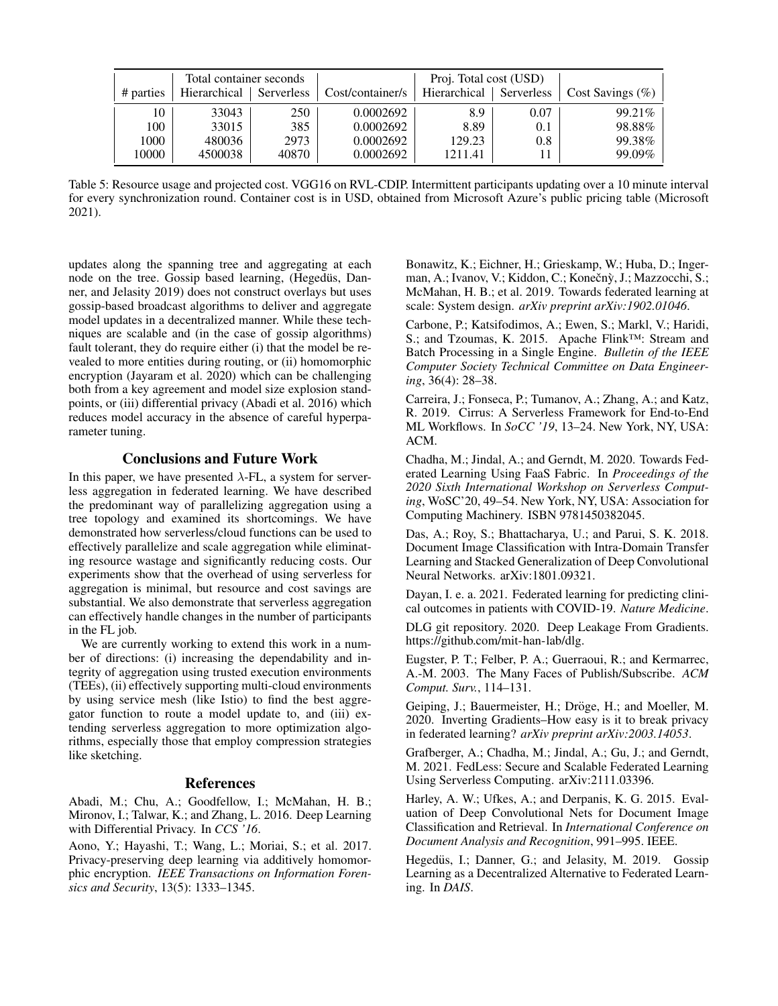| Total container seconds |       | Proj. Total cost (USD) |            |                  |              |            |                     |
|-------------------------|-------|------------------------|------------|------------------|--------------|------------|---------------------|
| # parties               |       | Hierarchical           | Serverless | Cost/container/s | Hierarchical | Serverless | Cost Savings $(\%)$ |
|                         | 10    | 33043                  | 250        | 0.0002692        | 8.9          | 0.07       | 99.21\%             |
|                         | 100   | 33015                  | 385        | 0.0002692        | 8.89         | 0.1        | 98.88%              |
|                         | 1000  | 480036                 | 2973       | 0.0002692        | 129.23       | 0.8        | 99.38%              |
|                         | 10000 | 4500038                | 40870      | 0.0002692        | 1211.41      |            | 99.09%              |

Table 5: Resource usage and projected cost. VGG16 on RVL-CDIP. Intermittent participants updating over a 10 minute interval for every synchronization round. Container cost is in USD, obtained from Microsoft Azure's public pricing table (Microsoft 2021).

updates along the spanning tree and aggregating at each node on the tree. Gossip based learning, (Hegedüs, Danner, and Jelasity 2019) does not construct overlays but uses gossip-based broadcast algorithms to deliver and aggregate model updates in a decentralized manner. While these techniques are scalable and (in the case of gossip algorithms) fault tolerant, they do require either (i) that the model be revealed to more entities during routing, or (ii) homomorphic encryption (Jayaram et al. 2020) which can be challenging both from a key agreement and model size explosion standpoints, or (iii) differential privacy (Abadi et al. 2016) which reduces model accuracy in the absence of careful hyperparameter tuning.

### Conclusions and Future Work

In this paper, we have presented  $\lambda$ -FL, a system for serverless aggregation in federated learning. We have described the predominant way of parallelizing aggregation using a tree topology and examined its shortcomings. We have demonstrated how serverless/cloud functions can be used to effectively parallelize and scale aggregation while eliminating resource wastage and significantly reducing costs. Our experiments show that the overhead of using serverless for aggregation is minimal, but resource and cost savings are substantial. We also demonstrate that serverless aggregation can effectively handle changes in the number of participants in the FL job.

We are currently working to extend this work in a number of directions: (i) increasing the dependability and integrity of aggregation using trusted execution environments (TEEs), (ii) effectively supporting multi-cloud environments by using service mesh (like Istio) to find the best aggregator function to route a model update to, and (iii) extending serverless aggregation to more optimization algorithms, especially those that employ compression strategies like sketching.

# References

Abadi, M.; Chu, A.; Goodfellow, I.; McMahan, H. B.; Mironov, I.; Talwar, K.; and Zhang, L. 2016. Deep Learning with Differential Privacy. In *CCS '16*.

Aono, Y.; Hayashi, T.; Wang, L.; Moriai, S.; et al. 2017. Privacy-preserving deep learning via additively homomorphic encryption. *IEEE Transactions on Information Forensics and Security*, 13(5): 1333–1345.

Bonawitz, K.; Eichner, H.; Grieskamp, W.; Huba, D.; Ingerman, A.; Ivanov, V.; Kiddon, C.; Konečnỳ, J.; Mazzocchi, S.; McMahan, H. B.; et al. 2019. Towards federated learning at scale: System design. *arXiv preprint arXiv:1902.01046*.

Carbone, P.; Katsifodimos, A.; Ewen, S.; Markl, V.; Haridi, S.; and Tzoumas, K. 2015. Apache Flink™: Stream and Batch Processing in a Single Engine. *Bulletin of the IEEE Computer Society Technical Committee on Data Engineering*, 36(4): 28–38.

Carreira, J.; Fonseca, P.; Tumanov, A.; Zhang, A.; and Katz, R. 2019. Cirrus: A Serverless Framework for End-to-End ML Workflows. In *SoCC '19*, 13–24. New York, NY, USA: ACM.

Chadha, M.; Jindal, A.; and Gerndt, M. 2020. Towards Federated Learning Using FaaS Fabric. In *Proceedings of the 2020 Sixth International Workshop on Serverless Computing*, WoSC'20, 49–54. New York, NY, USA: Association for Computing Machinery. ISBN 9781450382045.

Das, A.; Roy, S.; Bhattacharya, U.; and Parui, S. K. 2018. Document Image Classification with Intra-Domain Transfer Learning and Stacked Generalization of Deep Convolutional Neural Networks. arXiv:1801.09321.

Dayan, I. e. a. 2021. Federated learning for predicting clinical outcomes in patients with COVID-19. *Nature Medicine*.

DLG git repository. 2020. Deep Leakage From Gradients. https://github.com/mit-han-lab/dlg.

Eugster, P. T.; Felber, P. A.; Guerraoui, R.; and Kermarrec, A.-M. 2003. The Many Faces of Publish/Subscribe. *ACM Comput. Surv.*, 114–131.

Geiping, J.; Bauermeister, H.; Dröge, H.; and Moeller, M. 2020. Inverting Gradients–How easy is it to break privacy in federated learning? *arXiv preprint arXiv:2003.14053*.

Grafberger, A.; Chadha, M.; Jindal, A.; Gu, J.; and Gerndt, M. 2021. FedLess: Secure and Scalable Federated Learning Using Serverless Computing. arXiv:2111.03396.

Harley, A. W.; Ufkes, A.; and Derpanis, K. G. 2015. Evaluation of Deep Convolutional Nets for Document Image Classification and Retrieval. In *International Conference on Document Analysis and Recognition*, 991–995. IEEE.

Hegedüs, I.; Danner, G.; and Jelasity, M. 2019. Gossip Learning as a Decentralized Alternative to Federated Learning. In *DAIS*.